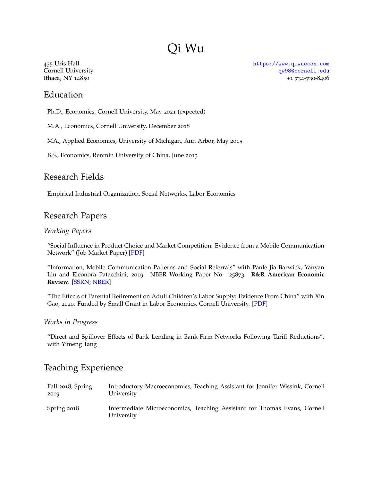# Qi Wu

435 Uris Hall Cornell University Ithaca, NY 14850

## Education

Ph.D., Economics, Cornell University, May 2021 (expected)

M.A., Economics, Cornell University, December 2018

MA., Applied Economics, University of Michigan, Ann Arbor, May 2015

B.S., Economics, Renmin University of China, June 2013

### Research Fields

Empirical Industrial Organization, Social Networks, Labor Economics

### Research Papers

#### *Working Papers*

"Social Influence in Product Choice and Market Competition: Evidence from a Mobile Communication Network" (Job Market Paper) [\[PDF\]](https://a1f75b8c-c90e-4fa0-bd47-d118c0bfc061.filesusr.com/ugd/9b6152_70477d03b63a46ef8dd0c140eaf30cb1.pdf)

"Information, Mobile Communication Patterns and Social Referrals" with Panle Jia Barwick, Yanyan Liu and Eleonora Patacchini, 2019. NBER Working Paper No. 25873. **R&R American Economic Review**. [\[SSRN;](https://ssrn.com/abstract=3395633) [NBER\]](https://www.nber.org/papers/w25873)

"The Effects of Parental Retirement on Adult Children's Labor Supply: Evidence From China" with Xin Gao, 2020. Funded by Small Grant in Labor Economics, Cornell University. [\[PDF\]](https://a1f75b8c-c90e-4fa0-bd47-d118c0bfc061.filesusr.com/ugd/9b6152_038e137183c44a009a35955d2d1c5276.pdf)

#### *Works in Progress*

"Direct and Spillover Effects of Bank Lending in Bank-Firm Networks Following Tariff Reductions", with Yimeng Tang

### Teaching Experience

| Fall 2018, Spring | Introductory Macroeconomics, Teaching Assistant for Jennifer Wissink, Cornell           |
|-------------------|-----------------------------------------------------------------------------------------|
| 2019              | University                                                                              |
| Spring 2018       | Intermediate Microeconomics, Teaching Assistant for Thomas Evans, Cornell<br>University |

<https://www.qiwuecon.com> [qw98@cornell.edu](mailto:qw98@cornell.edu) +1 734-730-8406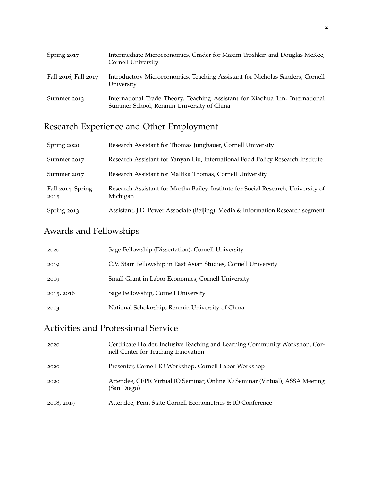| Spring 2017          | Intermediate Microeconomics, Grader for Maxim Troshkin and Douglas McKee,<br>Cornell University                            |
|----------------------|----------------------------------------------------------------------------------------------------------------------------|
| Fall 2016, Fall 2017 | Introductory Microeconomics, Teaching Assistant for Nicholas Sanders, Cornell<br>University                                |
| Summer 2013          | International Trade Theory, Teaching Assistant for Xiaohua Lin, International<br>Summer School, Renmin University of China |

# Research Experience and Other Employment

| Spring 2020               | Research Assistant for Thomas Jungbauer, Cornell University                                    |
|---------------------------|------------------------------------------------------------------------------------------------|
| Summer 2017               | Research Assistant for Yanyan Liu, International Food Policy Research Institute                |
| Summer 2017               | Research Assistant for Mallika Thomas, Cornell University                                      |
| Fall 2014, Spring<br>2015 | Research Assistant for Martha Bailey, Institute for Social Research, University of<br>Michigan |
| Spring 2013               | Assistant, J.D. Power Associate (Beijing), Media & Information Research segment                |

## Awards and Fellowships

| 2020       | Sage Fellowship (Dissertation), Cornell University              |
|------------|-----------------------------------------------------------------|
| 2019       | C.V. Starr Fellowship in East Asian Studies, Cornell University |
| 2019       | Small Grant in Labor Economics, Cornell University              |
| 2015, 2016 | Sage Fellowship, Cornell University                             |
| 2013       | National Scholarship, Renmin University of China                |

## Activities and Professional Service

| 2020       | Certificate Holder, Inclusive Teaching and Learning Community Workshop, Cor-<br>nell Center for Teaching Innovation |
|------------|---------------------------------------------------------------------------------------------------------------------|
| 2020       | Presenter, Cornell IO Workshop, Cornell Labor Workshop                                                              |
| 2020       | Attendee, CEPR Virtual IO Seminar, Online IO Seminar (Virtual), ASSA Meeting<br>(San Diego)                         |
| 2018, 2019 | Attendee, Penn State-Cornell Econometrics & IO Conference                                                           |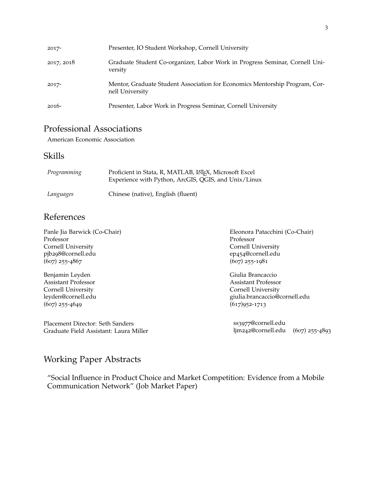| 2017-      | Presenter, IO Student Workshop, Cornell University                                             |
|------------|------------------------------------------------------------------------------------------------|
| 2017, 2018 | Graduate Student Co-organizer, Labor Work in Progress Seminar, Cornell Uni-<br>versity         |
| 2017-      | Mentor, Graduate Student Association for Economics Mentorship Program, Cor-<br>nell University |
| $2016-$    | Presenter, Labor Work in Progress Seminar, Cornell University                                  |

## Professional Associations

American Economic Association

### Skills

| Programming | Proficient in Stata, R, MATLAB, LATEX, Microsoft Excel<br>Experience with Python, ArcGIS, QGIS, and Unix/Linux |
|-------------|----------------------------------------------------------------------------------------------------------------|
| Languages   | Chinese (native), English (fluent)                                                                             |

### References

| Panle Jia Barwick (Co-Chair)           | Eleonora Patacchini (Co-Chair)         |  |  |
|----------------------------------------|----------------------------------------|--|--|
| Professor                              | Professor                              |  |  |
| Cornell University                     | Cornell University                     |  |  |
| pjb298@cornell.edu                     | ep454@cornell.edu                      |  |  |
| $(607)$ 255-4867                       | $(607)$ 255-1981                       |  |  |
| Benjamin Leyden                        | Giulia Brancaccio                      |  |  |
| <b>Assistant Professor</b>             | <b>Assistant Professor</b>             |  |  |
| Cornell University                     | Cornell University                     |  |  |
| leyden@cornell.edu                     | giulia.brancaccio@cornell.edu          |  |  |
| $(607)$ 255-4649                       | $(617)952 - 1713$                      |  |  |
| Placement Director: Seth Sanders       | ss3977@cornell.edu                     |  |  |
| Graduate Field Assistant: Laura Miller | ljm242@cornell.edu<br>$(607)$ 255-4893 |  |  |

## Working Paper Abstracts

"Social Influence in Product Choice and Market Competition: Evidence from a Mobile Communication Network" (Job Market Paper)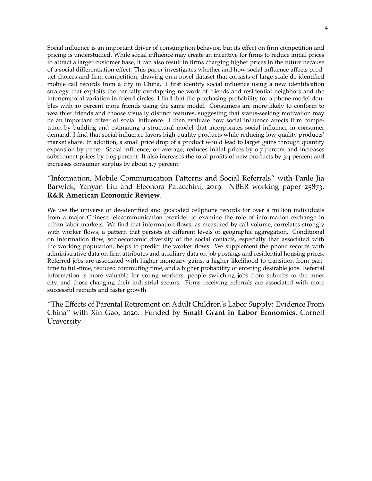Social influence is an important driver of consumption behavior, but its effect on firm competition and pricing is understudied. While social influence may create an incentive for firms to reduce initial prices to attract a larger customer base, it can also result in firms charging higher prices in the future because of a social differentiation effect. This paper investigates whether and how social influence affects product choices and firm competition, drawing on a novel dataset that consists of large scale de-identified mobile call records from a city in China. I first identify social influence using a new identification strategy that exploits the partially overlapping network of friends and residential neighbors and the intertemporal variation in friend circles. I find that the purchasing probability for a phone model doubles with 10 percent more friends using the same model. Consumers are more likely to conform to wealthier friends and choose visually distinct features, suggesting that status-seeking motivation may be an important driver of social influence. I then evaluate how social influence affects firm competition by building and estimating a structural model that incorporates social influence in consumer demand. I find that social influence favors high-quality products while reducing low-quality products' market share. In addition, a small price drop of a product would lead to larger gains through quantity expansion by peers. Social influence, on average, reduces initial prices by 0.7 percent and increases subsequent prices by 0.05 percent. It also increases the total profits of new products by 3.4 percent and increases consumer surplus by about 1.7 percent.

### "Information, Mobile Communication Patterns and Social Referrals" with Panle Jia Barwick, Yanyan Liu and Eleonora Patacchini, 2019. NBER working paper 25873. **R&R American Economic Review**.

We use the universe of de-identified and geocoded cellphone records for over a million individuals from a major Chinese telecommunication provider to examine the role of information exchange in urban labor markets. We find that information flows, as measured by call volume, correlates strongly with worker flows, a pattern that persists at different levels of geographic aggregation. Conditional on information flow, socioeconomic diversity of the social contacts, especially that associated with the working population, helps to predict the worker flows. We supplement the phone records with administrative data on firm attributes and auxiliary data on job postings and residential housing prices. Referred jobs are associated with higher monetary gains, a higher likelihood to transition from parttime to full-time, reduced commuting time, and a higher probability of entering desirable jobs. Referral information is more valuable for young workers, people switching jobs from suburbs to the inner city, and those changing their industrial sectors. Firms receiving referrals are associated with more successful recruits and faster growth.

"The Effects of Parental Retirement on Adult Children's Labor Supply: Evidence From China" with Xin Gao, 2020. Funded by **Small Grant in Labor Economics**, Cornell University